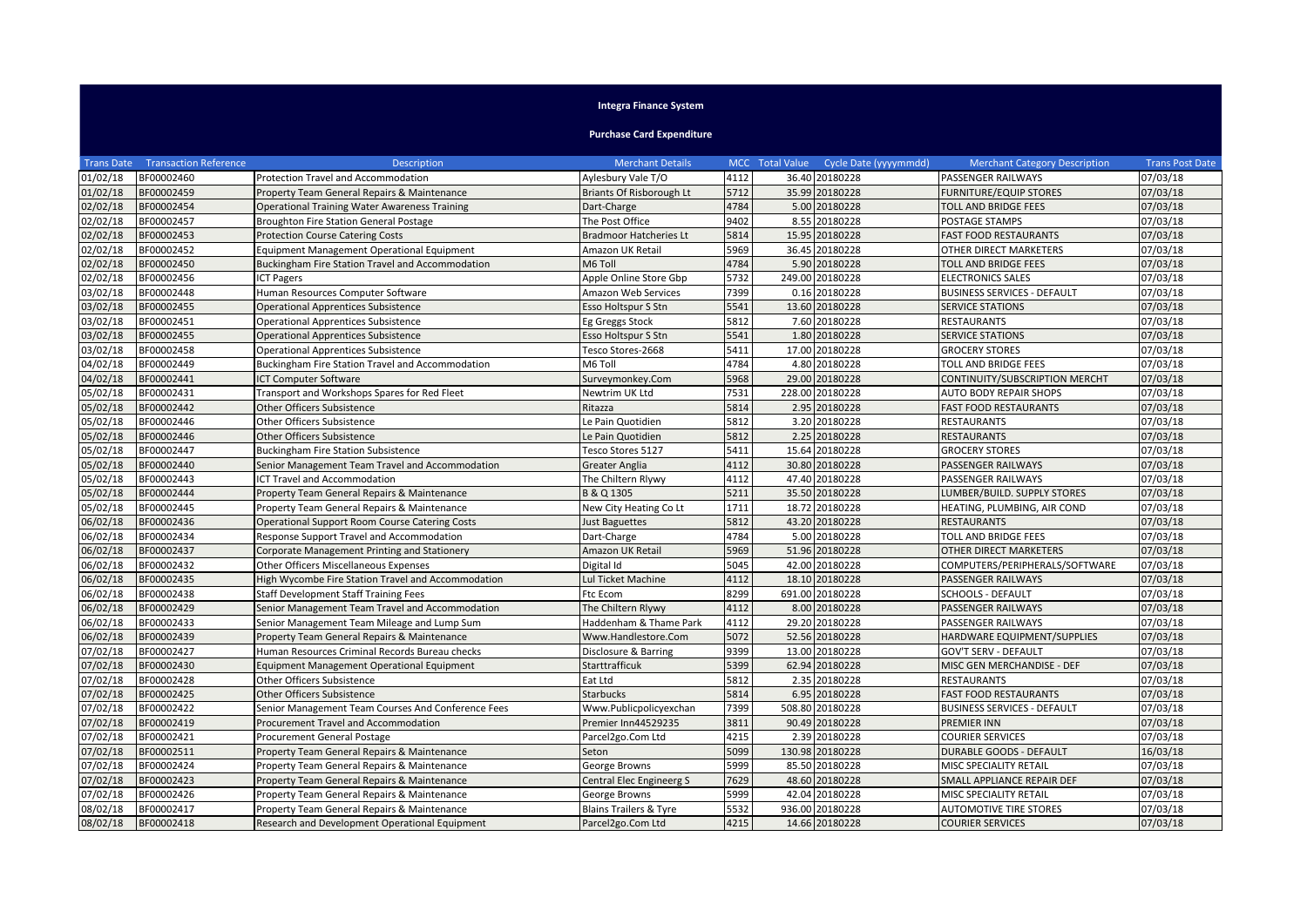## **Integra Finance System**

## **Purchase Card Expenditure**

| <b>Trans Date</b> | <b>Transaction Reference</b> | <b>Description</b>                                    | <b>Merchant Details</b>           |      | MCC Total Value | Cycle Date (yyyymmdd) | <b>Merchant Category Description</b> | <b>Trans Post Date</b> |
|-------------------|------------------------------|-------------------------------------------------------|-----------------------------------|------|-----------------|-----------------------|--------------------------------------|------------------------|
| 01/02/18          | BF00002460                   | Protection Travel and Accommodation                   | Aylesbury Vale T/O                | 4112 |                 | 36.40 20180228        | PASSENGER RAILWAYS                   | 07/03/18               |
| 01/02/18          | BF00002459                   | Property Team General Repairs & Maintenance           | Briants Of Risborough Lt          | 5712 |                 | 35.99 20180228        | <b>FURNITURE/EQUIP STORES</b>        | 07/03/18               |
| 02/02/18          | BF00002454                   | <b>Operational Training Water Awareness Training</b>  | Dart-Charge                       | 4784 |                 | 5.00 20180228         | <b>TOLL AND BRIDGE FEES</b>          | 07/03/18               |
| 02/02/18          | BF00002457                   | <b>Broughton Fire Station General Postage</b>         | The Post Office                   | 9402 |                 | 8.55 20180228         | POSTAGE STAMPS                       | 07/03/18               |
| 02/02/18          | BF00002453                   | <b>Protection Course Catering Costs</b>               | <b>Bradmoor Hatcheries Lt</b>     | 5814 |                 | 15.95 20180228        | <b>FAST FOOD RESTAURANTS</b>         | 07/03/18               |
| 02/02/18          | BF00002452                   | <b>Equipment Management Operational Equipment</b>     | Amazon UK Retail                  | 5969 |                 | 36.45 20180228        | OTHER DIRECT MARKETERS               | 07/03/18               |
| 02/02/18          | BF00002450                   | Buckingham Fire Station Travel and Accommodation      | M6 Toll                           | 4784 |                 | 5.90 20180228         | <b>TOLL AND BRIDGE FEES</b>          | 07/03/18               |
| 02/02/18          | BF00002456                   | <b>ICT Pagers</b>                                     | Apple Online Store Gbp            | 5732 |                 | 249.00 20180228       | <b>ELECTRONICS SALES</b>             | 07/03/18               |
| 03/02/18          | BF00002448                   | Human Resources Computer Software                     | Amazon Web Services               | 7399 |                 | 0.16 20180228         | <b>BUSINESS SERVICES - DEFAULT</b>   | 07/03/18               |
| 03/02/18          | BF00002455                   | <b>Operational Apprentices Subsistence</b>            | Esso Holtspur S Stn               | 5541 |                 | 13.60 20180228        | <b>SERVICE STATIONS</b>              | 07/03/18               |
| 03/02/18          | BF00002451                   | <b>Operational Apprentices Subsistence</b>            | Eg Greggs Stock                   | 5812 |                 | 7.60 20180228         | <b>RESTAURANTS</b>                   | 07/03/18               |
| 03/02/18          | BF00002455                   | <b>Operational Apprentices Subsistence</b>            | Esso Holtspur S Stn               | 5541 |                 | 1.80 20180228         | <b>SERVICE STATIONS</b>              | 07/03/18               |
| 03/02/18          | BF00002458                   | <b>Operational Apprentices Subsistence</b>            | Tesco Stores-2668                 | 5411 |                 | 17.00 20180228        | <b>GROCERY STORES</b>                | 07/03/18               |
| 04/02/18          | BF00002449                   | Buckingham Fire Station Travel and Accommodation      | M6 Toll                           | 4784 |                 | 4.80 20180228         | <b>TOLL AND BRIDGE FEES</b>          | 07/03/18               |
| 04/02/18          | BF00002441                   | <b>ICT Computer Software</b>                          | Surveymonkey.Com                  | 5968 |                 | 29.00 20180228        | CONTINUITY/SUBSCRIPTION MERCHT       | 07/03/18               |
| 05/02/18          | BF00002431                   | Transport and Workshops Spares for Red Fleet          | Newtrim UK Ltd                    | 7531 |                 | 228.00 20180228       | <b>AUTO BODY REPAIR SHOPS</b>        | 07/03/18               |
| 05/02/18          | BF00002442                   | Other Officers Subsistence                            | Ritazza                           | 5814 |                 | 2.95 20180228         | <b>FAST FOOD RESTAURANTS</b>         | 07/03/18               |
| 05/02/18          | BF00002446                   | Other Officers Subsistence                            | Le Pain Quotidien                 | 5812 |                 | 3.20 20180228         | <b>RESTAURANTS</b>                   | 07/03/18               |
| 05/02/18          | BF00002446                   | Other Officers Subsistence                            | Le Pain Quotidien                 | 5812 |                 | 2.25 20180228         | <b>RESTAURANTS</b>                   | 07/03/18               |
| 05/02/18          | BF00002447                   | <b>Buckingham Fire Station Subsistence</b>            | Tesco Stores 5127                 | 5411 |                 | 15.64 20180228        | <b>GROCERY STORES</b>                | 07/03/18               |
| 05/02/18          | BF00002440                   | Senior Management Team Travel and Accommodation       | Greater Anglia                    | 4112 |                 | 30.80 20180228        | PASSENGER RAILWAYS                   | 07/03/18               |
| 05/02/18          | BF00002443                   | ICT Travel and Accommodation                          | The Chiltern Rlywy                | 4112 |                 | 47.40 20180228        | PASSENGER RAILWAYS                   | 07/03/18               |
| 05/02/18          | BF00002444                   | Property Team General Repairs & Maintenance           | B & Q 1305                        | 5211 |                 | 35.50 20180228        | LUMBER/BUILD. SUPPLY STORES          | 07/03/18               |
| 05/02/18          | BF00002445                   | Property Team General Repairs & Maintenance           | New City Heating Co Lt            | 1711 |                 | 18.72 20180228        | HEATING, PLUMBING, AIR COND          | 07/03/18               |
| 06/02/18          | BF00002436                   | <b>Operational Support Room Course Catering Costs</b> | <b>Just Baguettes</b>             | 5812 |                 | 43.20 20180228        | <b>RESTAURANTS</b>                   | 07/03/18               |
| 06/02/18          | BF00002434                   | Response Support Travel and Accommodation             | Dart-Charge                       | 4784 |                 | 5.00 20180228         | TOLL AND BRIDGE FEES                 | 07/03/18               |
| 06/02/18          | BF00002437                   | Corporate Management Printing and Stationery          | Amazon UK Retail                  | 5969 |                 | 51.96 20180228        | OTHER DIRECT MARKETERS               | 07/03/18               |
| 06/02/18          | BF00002432                   | Other Officers Miscellaneous Expenses                 | Digital Id                        | 5045 |                 | 42.00 20180228        | COMPUTERS/PERIPHERALS/SOFTWARE       | 07/03/18               |
| 06/02/18          | BF00002435                   | High Wycombe Fire Station Travel and Accommodation    | Lul Ticket Machine                | 4112 |                 | 18.10 20180228        | PASSENGER RAILWAYS                   | 07/03/18               |
| 06/02/18          | BF00002438                   | <b>Staff Development Staff Training Fees</b>          | Ftc Ecom                          | 8299 |                 | 691.00 20180228       | <b>SCHOOLS - DEFAULT</b>             | 07/03/18               |
| 06/02/18          | BF00002429                   | Senior Management Team Travel and Accommodation       | The Chiltern Rlywy                | 4112 |                 | 8.00 20180228         | PASSENGER RAILWAYS                   | 07/03/18               |
| 06/02/18          | BF00002433                   | Senior Management Team Mileage and Lump Sum           | Haddenham & Thame Park            | 4112 |                 | 29.20 20180228        | PASSENGER RAILWAYS                   | 07/03/18               |
| 06/02/18          | BF00002439                   | Property Team General Repairs & Maintenance           | Www.Handlestore.Com               | 5072 |                 | 52.56 20180228        | HARDWARE EQUIPMENT/SUPPLIES          | 07/03/18               |
| 07/02/18          | BF00002427                   | Human Resources Criminal Records Bureau checks        | Disclosure & Barring              | 9399 |                 | 13.00 20180228        | <b>GOV'T SERV - DEFAULT</b>          | 07/03/18               |
| 07/02/18          | BF00002430                   | <b>Equipment Management Operational Equipment</b>     | <b>Starttrafficuk</b>             | 5399 |                 | 62.94 20180228        | MISC GEN MERCHANDISE - DEF           | 07/03/18               |
| 07/02/18          | BF00002428                   | Other Officers Subsistence                            | Eat Ltd                           | 5812 |                 | 2.35 20180228         | <b>RESTAURANTS</b>                   | 07/03/18               |
| 07/02/18          | BF00002425                   | Other Officers Subsistence                            | <b>Starbucks</b>                  | 5814 |                 | 6.95 20180228         | <b>FAST FOOD RESTAURANTS</b>         | 07/03/18               |
| 07/02/18          | BF00002422                   | Senior Management Team Courses And Conference Fees    | Www.Publicpolicyexchan            | 7399 |                 | 508.80 20180228       | <b>BUSINESS SERVICES - DEFAULT</b>   | 07/03/18               |
| 07/02/18          | BF00002419                   | Procurement Travel and Accommodation                  | Premier Inn44529235               | 3811 |                 | 90.49 20180228        | <b>PREMIER INN</b>                   | 07/03/18               |
| 07/02/18          | BF00002421                   | Procurement General Postage                           | Parcel2go.Com Ltd                 | 4215 |                 | 2.39 20180228         | COURIER SERVICES                     | 07/03/18               |
| 07/02/18          | BF00002511                   | Property Team General Repairs & Maintenance           | Seton                             | 5099 |                 | 130.98 20180228       | <b>DURABLE GOODS - DEFAULT</b>       | 16/03/18               |
| 07/02/18          | BF00002424                   | Property Team General Repairs & Maintenance           | George Browns                     | 5999 |                 | 85.50 20180228        | MISC SPECIALITY RETAIL               | 07/03/18               |
| 07/02/18          | BF00002423                   | Property Team General Repairs & Maintenance           | Central Elec Engineerg S          | 7629 |                 | 48.60 20180228        | SMALL APPLIANCE REPAIR DEF           | 07/03/18               |
| 07/02/18          | BF00002426                   | Property Team General Repairs & Maintenance           | George Browns                     | 5999 |                 | 42.04 20180228        | MISC SPECIALITY RETAIL               | 07/03/18               |
| 08/02/18          | BF00002417                   | Property Team General Repairs & Maintenance           | <b>Blains Trailers &amp; Tyre</b> | 5532 |                 | 936.00 20180228       | <b>AUTOMOTIVE TIRE STORES</b>        | 07/03/18               |
| 08/02/18          | BF00002418                   | Research and Development Operational Equipment        | Parcel2go.Com Ltd                 | 4215 |                 | 14.66 20180228        | <b>COURIER SERVICES</b>              | 07/03/18               |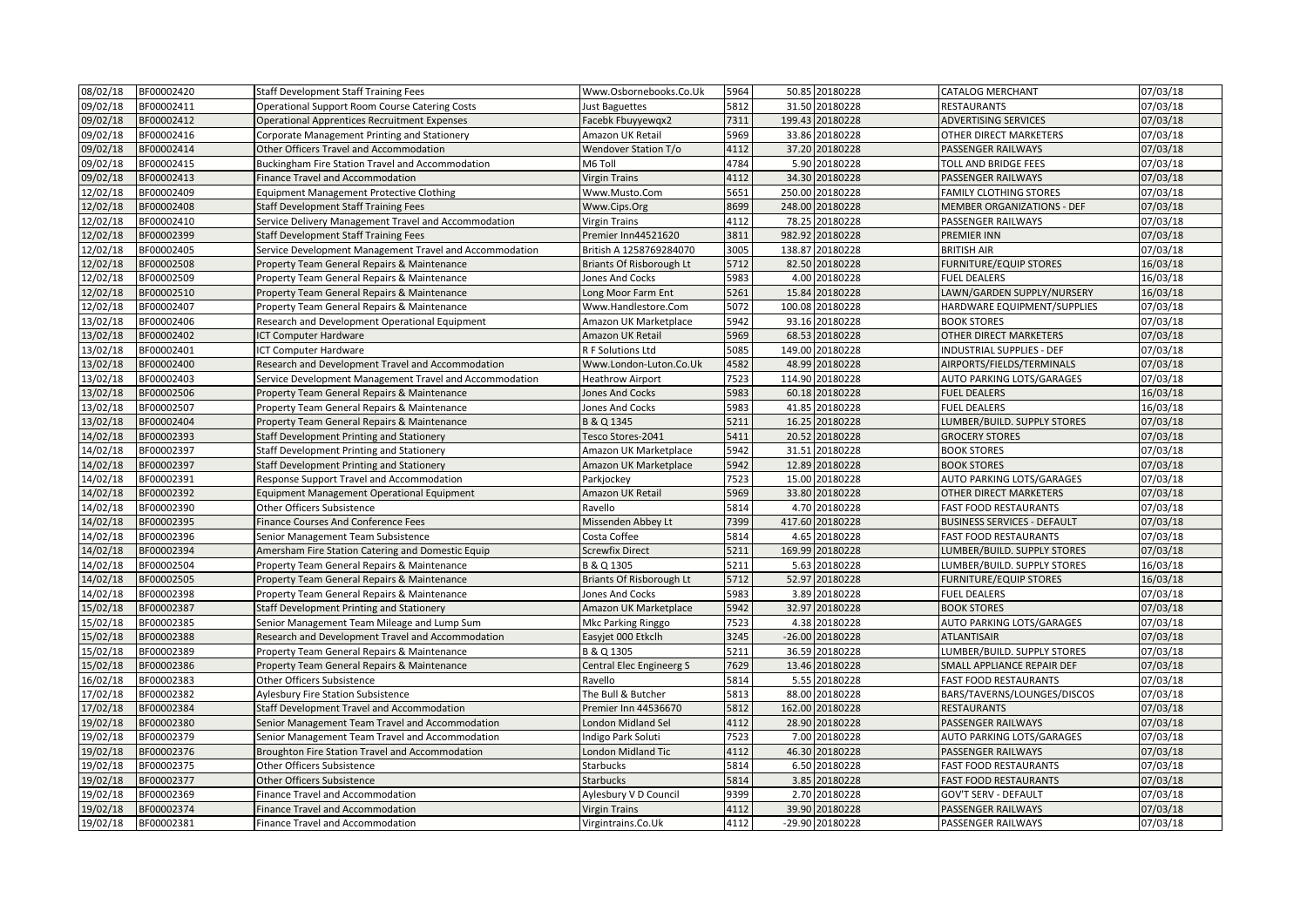| 08/02/18 | BF00002420 | <b>Staff Development Staff Training Fees</b>            | Www.Osbornebooks.Co.Uk      | 5964 | 50.85 20180228  | <b>CATALOG MERCHANT</b>            | 07/03/18 |
|----------|------------|---------------------------------------------------------|-----------------------------|------|-----------------|------------------------------------|----------|
| 09/02/18 | BF00002411 | <b>Operational Support Room Course Catering Costs</b>   | Just Baguettes              | 5812 | 31.50 20180228  | RESTAURANTS                        | 07/03/18 |
| 9/02/18  | BF00002412 | <b>Operational Apprentices Recruitment Expenses</b>     | Facebk Fbuyyewqx2           | 7311 | 199.43 20180228 | <b>ADVERTISING SERVICES</b>        | 07/03/18 |
| 09/02/18 | BF00002416 | Corporate Management Printing and Stationery            | Amazon UK Retail            | 5969 | 33.86 20180228  | OTHER DIRECT MARKETERS             | 07/03/18 |
| 09/02/18 | BF00002414 | Other Officers Travel and Accommodation                 | <b>Wendover Station T/o</b> | 4112 | 37.20 20180228  | PASSENGER RAILWAYS                 | 07/03/18 |
| 09/02/18 | BF00002415 | Buckingham Fire Station Travel and Accommodation        | M6 Toll                     | 4784 | 5.90 20180228   | <b>TOLL AND BRIDGE FEES</b>        | 07/03/18 |
| 09/02/18 | BF00002413 | Finance Travel and Accommodation                        | <b>Virgin Trains</b>        | 4112 | 34.30 20180228  | PASSENGER RAILWAYS                 | 07/03/18 |
| 12/02/18 | BF00002409 | <b>Equipment Management Protective Clothing</b>         | Www.Musto.Com               | 5651 | 250.00 20180228 | <b>FAMILY CLOTHING STORES</b>      | 07/03/18 |
| 12/02/18 | BF00002408 | <b>Staff Development Staff Training Fees</b>            | Www.Cips.Org                | 8699 | 248.00 20180228 | <b>MEMBER ORGANIZATIONS - DEF</b>  | 07/03/18 |
| 12/02/18 | BF00002410 | Service Delivery Management Travel and Accommodation    | <b>Virgin Trains</b>        | 4112 | 78.25 20180228  | PASSENGER RAILWAYS                 | 07/03/18 |
| 12/02/18 | BF00002399 | <b>Staff Development Staff Training Fees</b>            | Premier Inn44521620         | 3811 | 982.92 20180228 | <b>PREMIER INN</b>                 | 07/03/18 |
| 12/02/18 | BF00002405 | Service Development Management Travel and Accommodation | British A 1258769284070     | 3005 | 138.87 20180228 | <b>BRITISH AIR</b>                 | 07/03/18 |
| 12/02/18 | BF00002508 | Property Team General Repairs & Maintenance             | Briants Of Risborough Lt    | 5712 | 82.50 20180228  | <b>FURNITURE/EQUIP STORES</b>      | 16/03/18 |
| 12/02/18 | BF00002509 | Property Team General Repairs & Maintenance             | <b>Jones And Cocks</b>      | 5983 | 4.00 20180228   | <b>FUEL DEALERS</b>                | 16/03/18 |
| 12/02/18 | BF00002510 | Property Team General Repairs & Maintenance             | Long Moor Farm Ent          | 5261 | 15.84 20180228  | LAWN/GARDEN SUPPLY/NURSERY         | 16/03/18 |
| 12/02/18 | BF00002407 | Property Team General Repairs & Maintenance             | Www.Handlestore.Com         | 5072 | 100.08 20180228 | HARDWARE EQUIPMENT/SUPPLIES        | 07/03/18 |
| 13/02/18 | BF00002406 | Research and Development Operational Equipment          | Amazon UK Marketplace       | 5942 | 93.16 20180228  | <b>BOOK STORES</b>                 | 07/03/18 |
| 13/02/18 | BF00002402 | <b>ICT Computer Hardware</b>                            | Amazon UK Retail            | 5969 | 68.53 20180228  | OTHER DIRECT MARKETERS             | 07/03/18 |
| 13/02/18 | BF00002401 | <b>ICT Computer Hardware</b>                            | R F Solutions Ltd           | 5085 | 149.00 20180228 | <b>INDUSTRIAL SUPPLIES - DEF</b>   | 07/03/18 |
| 13/02/18 | BF00002400 | Research and Development Travel and Accommodation       | Www.London-Luton.Co.Uk      | 4582 | 48.99 20180228  | AIRPORTS/FIELDS/TERMINALS          | 07/03/18 |
| 13/02/18 | BF00002403 | Service Development Management Travel and Accommodation | <b>Heathrow Airport</b>     | 7523 | 114.90 20180228 | AUTO PARKING LOTS/GARAGES          | 07/03/18 |
| 13/02/18 | BF00002506 | Property Team General Repairs & Maintenance             | <b>Jones And Cocks</b>      | 5983 | 60.18 20180228  | <b>FUEL DEALERS</b>                | 16/03/18 |
| 13/02/18 | BF00002507 | Property Team General Repairs & Maintenance             | <b>Jones And Cocks</b>      | 5983 | 41.85 20180228  | <b>FUEL DEALERS</b>                | 16/03/18 |
| 13/02/18 | BF00002404 | Property Team General Repairs & Maintenance             | B & Q 1345                  | 5211 | 16.25 20180228  | LUMBER/BUILD. SUPPLY STORES        | 07/03/18 |
| 14/02/18 | BF00002393 | Staff Development Printing and Stationery               | Tesco Stores-2041           | 5411 | 20.52 20180228  | <b>GROCERY STORES</b>              | 07/03/18 |
| 14/02/18 | BF00002397 | Staff Development Printing and Stationery               | Amazon UK Marketplace       | 5942 | 31.51 20180228  | <b>BOOK STORES</b>                 | 07/03/18 |
| 14/02/18 | BF00002397 | Staff Development Printing and Stationery               | Amazon UK Marketplace       | 5942 | 12.89 20180228  | <b>BOOK STORES</b>                 | 07/03/18 |
| 14/02/18 | BF00002391 | Response Support Travel and Accommodation               | Parkjockey                  | 7523 | 15.00 20180228  | AUTO PARKING LOTS/GARAGES          | 07/03/18 |
| 14/02/18 | BF00002392 | <b>Equipment Management Operational Equipment</b>       | Amazon UK Retail            | 5969 | 33.80 20180228  | OTHER DIRECT MARKETERS             | 07/03/18 |
| 14/02/18 | BF00002390 | Other Officers Subsistence                              | Ravello                     | 5814 | 4.70 20180228   | <b>FAST FOOD RESTAURANTS</b>       | 07/03/18 |
| 14/02/18 | BF00002395 | Finance Courses And Conference Fees                     | Missenden Abbey Lt          | 7399 | 417.60 20180228 | <b>BUSINESS SERVICES - DEFAULT</b> | 07/03/18 |
| 14/02/18 | BF00002396 | Senior Management Team Subsistence                      | Costa Coffee                | 5814 | 4.65 20180228   | <b>FAST FOOD RESTAURANTS</b>       | 07/03/18 |
| 14/02/18 | BF00002394 | Amersham Fire Station Catering and Domestic Equip       | <b>Screwfix Direct</b>      | 5211 | 169.99 20180228 | LUMBER/BUILD. SUPPLY STORES        | 07/03/18 |
| 14/02/18 | BF00002504 | Property Team General Repairs & Maintenance             | B & Q 1305                  | 5211 | 5.63 20180228   | LUMBER/BUILD. SUPPLY STORES        | 16/03/18 |
| 14/02/18 | BF00002505 | Property Team General Repairs & Maintenance             | Briants Of Risborough Lt    | 5712 | 52.97 20180228  | <b>FURNITURE/EQUIP STORES</b>      | 16/03/18 |
| 14/02/18 | BF00002398 | Property Team General Repairs & Maintenance             | Jones And Cocks             | 5983 | 3.89 20180228   | <b>FUEL DEALERS</b>                | 07/03/18 |
| 15/02/18 | BF00002387 | Staff Development Printing and Stationery               | Amazon UK Marketplace       | 5942 | 32.97 20180228  | <b>BOOK STORES</b>                 | 07/03/18 |
| 15/02/18 | BF00002385 | Senior Management Team Mileage and Lump Sum             | Mkc Parking Ringgo          | 7523 | 4.38 20180228   | AUTO PARKING LOTS/GARAGES          | 07/03/18 |
| 15/02/18 | BF00002388 | Research and Development Travel and Accommodation       | Easyjet 000 Etkclh          | 3245 | -26.00 20180228 | <b>ATLANTISAIR</b>                 | 07/03/18 |
| 15/02/18 | BF00002389 | Property Team General Repairs & Maintenance             | B & Q 1305                  | 5211 | 36.59 20180228  | LUMBER/BUILD. SUPPLY STORES        | 07/03/18 |
| 15/02/18 | BF00002386 | Property Team General Repairs & Maintenance             | Central Elec Engineerg S    | 7629 | 13.46 20180228  | SMALL APPLIANCE REPAIR DEF         | 07/03/18 |
| 16/02/18 | BF00002383 | Other Officers Subsistence                              | Ravello                     | 5814 | 5.55 20180228   | <b>FAST FOOD RESTAURANTS</b>       | 07/03/18 |
| 17/02/18 | BF00002382 | Aylesbury Fire Station Subsistence                      | The Bull & Butcher          | 5813 | 88.00 20180228  | BARS/TAVERNS/LOUNGES/DISCOS        | 07/03/18 |
| 17/02/18 | BF00002384 | Staff Development Travel and Accommodation              | Premier Inn 44536670        | 5812 | 162.00 20180228 | <b>RESTAURANTS</b>                 | 07/03/18 |
| 19/02/18 | BF00002380 | Senior Management Team Travel and Accommodation         | London Midland Sel          | 4112 | 28.90 20180228  | PASSENGER RAILWAYS                 | 07/03/18 |
| 19/02/18 | BF00002379 | Senior Management Team Travel and Accommodation         | Indigo Park Soluti          | 7523 | 7.00 20180228   | AUTO PARKING LOTS/GARAGES          | 07/03/18 |
| 19/02/18 | BF00002376 | Broughton Fire Station Travel and Accommodation         | London Midland Tic          | 4112 | 46.30 20180228  | PASSENGER RAILWAYS                 | 07/03/18 |
| 19/02/18 | BF00002375 | Other Officers Subsistence                              | Starbucks                   | 5814 | 6.50 20180228   | <b>FAST FOOD RESTAURANTS</b>       | 07/03/18 |
| 19/02/18 | BF00002377 | Other Officers Subsistence                              | <b>Starbucks</b>            | 5814 | 3.85 20180228   | <b>FAST FOOD RESTAURANTS</b>       | 07/03/18 |
| 19/02/18 | BF00002369 | Finance Travel and Accommodation                        | Aylesbury V D Council       | 9399 | 2.70 20180228   | <b>GOV'T SERV - DEFAULT</b>        | 07/03/18 |
| 19/02/18 | BF00002374 | Finance Travel and Accommodation                        | <b>Virgin Trains</b>        | 4112 | 39.90 20180228  | PASSENGER RAILWAYS                 | 07/03/18 |
| 19/02/18 | BF00002381 | Finance Travel and Accommodation                        | Virgintrains.Co.Uk          | 4112 | -29.90 20180228 | PASSENGER RAILWAYS                 | 07/03/18 |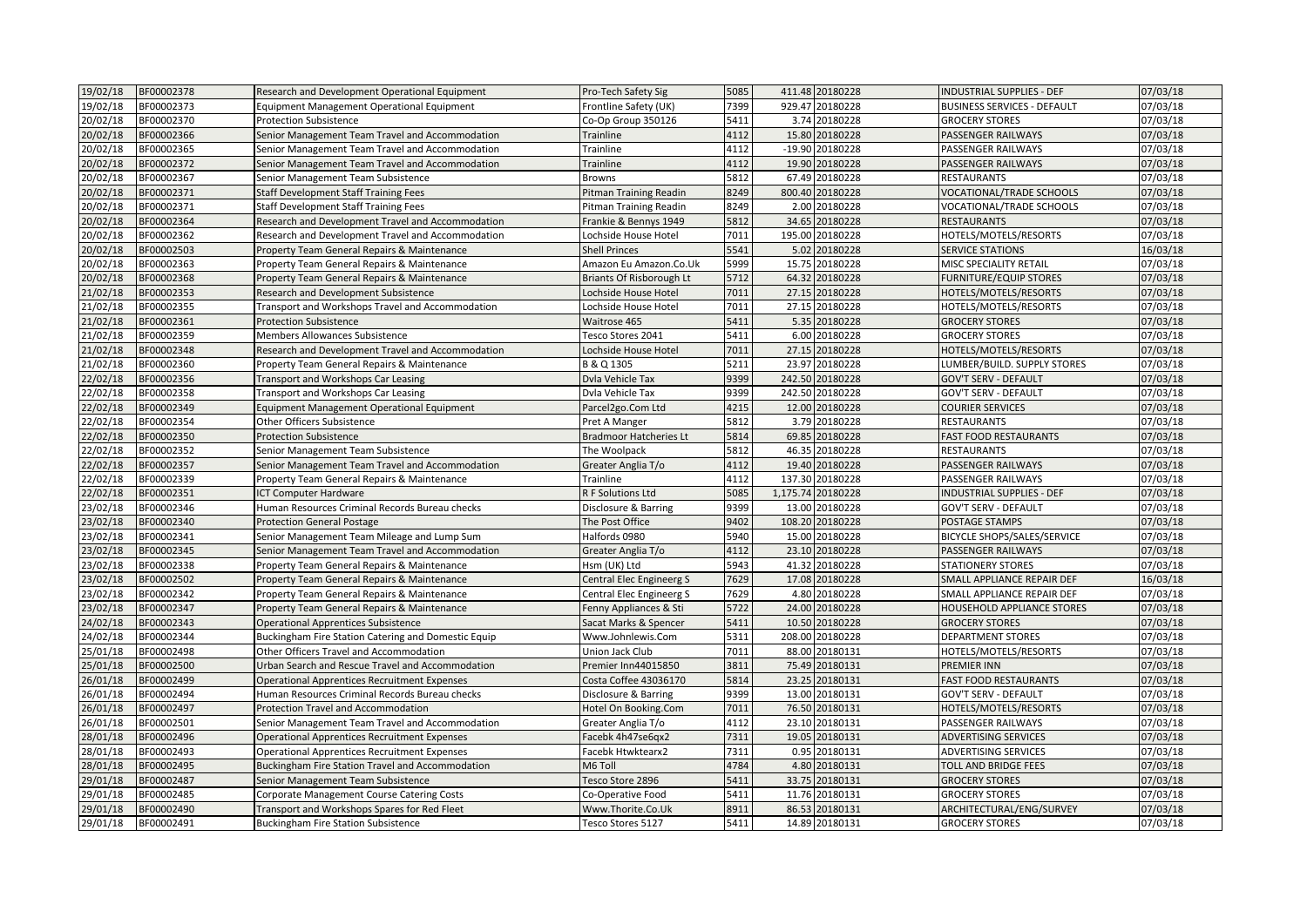| 19/02/18 | BF00002378 | Research and Development Operational Equipment      | Pro-Tech Safety Sig           | 5085 | 411.48 20180228   | <b>INDUSTRIAL SUPPLIES - DEF</b>   | 07/03/18 |
|----------|------------|-----------------------------------------------------|-------------------------------|------|-------------------|------------------------------------|----------|
| 19/02/18 | BF00002373 | <b>Equipment Management Operational Equipment</b>   | Frontline Safety (UK)         | 7399 | 929.47 20180228   | <b>BUSINESS SERVICES - DEFAULT</b> | 07/03/18 |
| 20/02/18 | BF00002370 | <b>Protection Subsistence</b>                       | Co-Op Group 350126            | 5411 | 3.74 20180228     | <b>GROCERY STORES</b>              | 07/03/18 |
| 20/02/18 | BF00002366 | Senior Management Team Travel and Accommodation     | Trainline                     | 4112 | 15.80 20180228    | PASSENGER RAILWAYS                 | 07/03/18 |
| 20/02/18 | BF00002365 | Senior Management Team Travel and Accommodation     | Trainline                     | 4112 | -19.90 20180228   | PASSENGER RAILWAYS                 | 07/03/18 |
| 20/02/18 | BF00002372 | Senior Management Team Travel and Accommodation     | Trainline                     | 1112 | 19.90 20180228    | PASSENGER RAILWAYS                 | 07/03/18 |
| 20/02/18 | BF00002367 | Senior Management Team Subsistence                  | <b>Browns</b>                 | 5812 | 67.49 20180228    | <b>RESTAURANTS</b>                 | 07/03/18 |
| 20/02/18 | BF00002371 | <b>Staff Development Staff Training Fees</b>        | Pitman Training Readin        | 8249 | 800.40 20180228   | VOCATIONAL/TRADE SCHOOLS           | 07/03/18 |
| 20/02/18 | BF00002371 | <b>Staff Development Staff Training Fees</b>        | Pitman Training Readin        | 8249 | 2.00 20180228     | VOCATIONAL/TRADE SCHOOLS           | 07/03/18 |
| 20/02/18 | BF00002364 | Research and Development Travel and Accommodation   | Frankie & Bennys 1949         | 5812 | 34.65 20180228    | <b>RESTAURANTS</b>                 | 07/03/18 |
| 20/02/18 | BF00002362 | Research and Development Travel and Accommodation   | Lochside House Hotel          | 7011 | 195.00 20180228   | HOTELS/MOTELS/RESORTS              | 07/03/18 |
| 20/02/18 | BF00002503 | Property Team General Repairs & Maintenance         | <b>Shell Princes</b>          | 5541 | 5.02 20180228     | <b>SERVICE STATIONS</b>            | 16/03/18 |
| 20/02/18 | BF00002363 | Property Team General Repairs & Maintenance         | Amazon Eu Amazon.Co.Uk        | 5999 | 15.75 20180228    | MISC SPECIALITY RETAIL             | 07/03/18 |
| 20/02/18 | BF00002368 | Property Team General Repairs & Maintenance         | Briants Of Risborough Lt      | 5712 | 64.32 20180228    | <b>FURNITURE/EQUIP STORES</b>      | 07/03/18 |
| 21/02/18 | BF00002353 | Research and Development Subsistence                | Lochside House Hotel          | 7011 | 27.15 20180228    | HOTELS/MOTELS/RESORTS              | 07/03/18 |
| 21/02/18 | BF00002355 | Transport and Workshops Travel and Accommodation    | Lochside House Hotel          | 7011 | 27.15 20180228    | HOTELS/MOTELS/RESORTS              | 07/03/18 |
| 21/02/18 | BF00002361 | <b>Protection Subsistence</b>                       | Waitrose 465                  | 5411 | 5.35 20180228     | <b>GROCERY STORES</b>              | 07/03/18 |
| 21/02/18 | BF00002359 | Members Allowances Subsistence                      | Tesco Stores 2041             | 5411 | 6.00 20180228     | <b>GROCERY STORES</b>              | 07/03/18 |
| 21/02/18 | BF00002348 | Research and Development Travel and Accommodation   | Lochside House Hotel          | 7011 | 27.15 20180228    | HOTELS/MOTELS/RESORTS              | 07/03/18 |
| 21/02/18 | BF00002360 | Property Team General Repairs & Maintenance         | B & Q 1305                    | 5211 | 23.97 20180228    | LUMBER/BUILD. SUPPLY STORES        | 07/03/18 |
| 22/02/18 | BF00002356 | Transport and Workshops Car Leasing                 | Dvla Vehicle Tax              | 9399 | 242.50 20180228   | <b>GOV'T SERV - DEFAULT</b>        | 07/03/18 |
| 22/02/18 | BF00002358 | Transport and Workshops Car Leasing                 | Dvla Vehicle Tax              | 9399 | 242.50 20180228   | GOV'T SERV - DEFAULT               | 07/03/18 |
| 22/02/18 | BF00002349 | <b>Equipment Management Operational Equipment</b>   | Parcel2go.Com Ltd             | 4215 | 12.00 20180228    | <b>COURIER SERVICES</b>            | 07/03/18 |
| 22/02/18 | BF00002354 | Other Officers Subsistence                          | Pret A Manger                 | 5812 | 3.79 20180228     | <b>RESTAURANTS</b>                 | 07/03/18 |
| 22/02/18 | BF00002350 | <b>Protection Subsistence</b>                       | <b>Bradmoor Hatcheries Lt</b> | 5814 | 69.85 20180228    | <b>FAST FOOD RESTAURANTS</b>       | 07/03/18 |
| 22/02/18 | BF00002352 | Senior Management Team Subsistence                  | The Woolpack                  | 5812 | 46.35 20180228    | RESTAURANTS                        | 07/03/18 |
| 22/02/18 | BF00002357 | Senior Management Team Travel and Accommodation     | Greater Anglia T/o            | 4112 | 19.40 20180228    | PASSENGER RAILWAYS                 | 07/03/18 |
| 22/02/18 | BF00002339 | Property Team General Repairs & Maintenance         | Trainline                     | 4112 | 137.30 20180228   | PASSENGER RAILWAYS                 | 07/03/18 |
| 22/02/18 | BF00002351 | <b>ICT Computer Hardware</b>                        | R F Solutions Ltd             | 5085 | 1,175.74 20180228 | <b>INDUSTRIAL SUPPLIES - DEF</b>   | 07/03/18 |
| 23/02/18 | BF00002346 | Human Resources Criminal Records Bureau checks      | Disclosure & Barring          | 9399 | 13.00 20180228    | <b>GOV'T SERV - DEFAULT</b>        | 07/03/18 |
| 23/02/18 | BF00002340 | <b>Protection General Postage</b>                   | The Post Office               | 9402 | 108.20 20180228   | POSTAGE STAMPS                     | 07/03/18 |
| 23/02/18 | BF00002341 | Senior Management Team Mileage and Lump Sum         | Halfords 0980                 | 5940 | 15.00 20180228    | BICYCLE SHOPS/SALES/SERVICE        | 07/03/18 |
| 23/02/18 | BF00002345 | Senior Management Team Travel and Accommodation     | Greater Anglia T/o            | 4112 | 23.10 20180228    | PASSENGER RAILWAYS                 | 07/03/18 |
| 23/02/18 | BF00002338 | Property Team General Repairs & Maintenance         | Hsm (UK) Ltd                  | 5943 | 41.32 20180228    | <b>STATIONERY STORES</b>           | 07/03/18 |
| 23/02/18 | BF00002502 | Property Team General Repairs & Maintenance         | Central Elec Engineerg S      | 7629 | 17.08 20180228    | SMALL APPLIANCE REPAIR DEF         | 16/03/18 |
| 23/02/18 | BF00002342 | Property Team General Repairs & Maintenance         | Central Elec Engineerg S      | 7629 | 4.80 20180228     | SMALL APPLIANCE REPAIR DEF         | 07/03/18 |
| 23/02/18 | BF00002347 | Property Team General Repairs & Maintenance         | Fenny Appliances & Sti        | 5722 | 24.00 20180228    | <b>HOUSEHOLD APPLIANCE STORES</b>  | 07/03/18 |
| 24/02/18 | BF00002343 | <b>Operational Apprentices Subsistence</b>          | Sacat Marks & Spencer         | 5411 | 10.50 20180228    | <b>GROCERY STORES</b>              | 07/03/18 |
| 24/02/18 | BF00002344 | Buckingham Fire Station Catering and Domestic Equip | Www.Johnlewis.Com             | 5311 | 208.00 20180228   | <b>DEPARTMENT STORES</b>           | 07/03/18 |
| 25/01/18 | BF00002498 | Other Officers Travel and Accommodation             | Union Jack Club               | 7011 | 88.00 20180131    | HOTELS/MOTELS/RESORTS              | 07/03/18 |
| 25/01/18 | BF00002500 | Urban Search and Rescue Travel and Accommodation    | Premier Inn44015850           | 3811 | 75.49 20180131    | PREMIER INN                        | 07/03/18 |
| 26/01/18 | BF00002499 | <b>Operational Apprentices Recruitment Expenses</b> | Costa Coffee 43036170         | 5814 | 23.25 20180131    | <b>FAST FOOD RESTAURANTS</b>       | 07/03/18 |
| 26/01/18 | BF00002494 | Human Resources Criminal Records Bureau checks      | Disclosure & Barring          | 9399 | 13.00 20180131    | GOV'T SERV - DEFAULT               | 07/03/18 |
| 26/01/18 | BF00002497 | Protection Travel and Accommodation                 | Hotel On Booking.Com          | 7011 | 76.50 20180131    | HOTELS/MOTELS/RESORTS              | 07/03/18 |
| 26/01/18 | BF00002501 | Senior Management Team Travel and Accommodation     | Greater Anglia T/o            | 4112 | 23.10 20180131    | PASSENGER RAILWAYS                 | 07/03/18 |
| 28/01/18 | BF00002496 | <b>Operational Apprentices Recruitment Expenses</b> | Facebk 4h47se6qx2             | 7311 | 19.05 20180131    | <b>ADVERTISING SERVICES</b>        | 07/03/18 |
| 28/01/18 | BF00002493 | <b>Operational Apprentices Recruitment Expenses</b> | Facebk Htwktearx2             | 7311 | 0.95 20180131     | <b>ADVERTISING SERVICES</b>        | 07/03/18 |
| 28/01/18 | BF00002495 | Buckingham Fire Station Travel and Accommodation    | M6 Toll                       | 4784 | 4.80 20180131     | TOLL AND BRIDGE FEES               | 07/03/18 |
| 29/01/18 | BF00002487 | Senior Management Team Subsistence                  | Tesco Store 2896              | 5411 | 33.75 20180131    | <b>GROCERY STORES</b>              | 07/03/18 |
| 29/01/18 | BF00002485 | <b>Corporate Management Course Catering Costs</b>   | Co-Operative Food             | 5411 | 11.76 20180131    | <b>GROCERY STORES</b>              | 07/03/18 |
| 29/01/18 | BF00002490 | Transport and Workshops Spares for Red Fleet        | Www.Thorite.Co.Uk             | 8911 | 86.53 20180131    | ARCHITECTURAL/ENG/SURVEY           | 07/03/18 |
| 29/01/18 | BF00002491 | <b>Buckingham Fire Station Subsistence</b>          | Tesco Stores 5127             | 5411 | 14.89 20180131    | <b>GROCERY STORES</b>              | 07/03/18 |